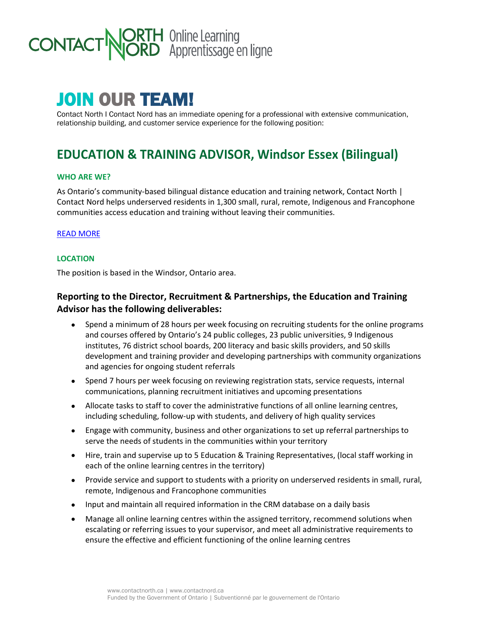# **ORTH** Online Learning<br>**JORD** Apprentissage en ligne **CONTACT**

# JOIN OUR TEAM!

Contact North I Contact Nord has an immediate opening for a professional with extensive communication, relationship building, and customer service experience for the following position:

# **EDUCATION & TRAINING ADVISOR, Windsor Essex (Bilingual)**

#### **WHO ARE WE?**

As Ontario's community-based bilingual distance education and training network, Contact North | Contact Nord helps underserved residents in 1,300 small, rural, remote, Indigenous and Francophone communities access education and training without leaving their communities.

#### [READ MORE](https://contactnorth.ca/about-us)

#### **LOCATION**

The position is based in the Windsor, Ontario area.

# **Reporting to the Director, Recruitment & Partnerships, the Education and Training Advisor has the following deliverables:**

- Spend a minimum of 28 hours per week focusing on recruiting students for the online programs and courses offered by Ontario's 24 public colleges, 23 public universities, 9 Indigenous institutes, 76 district school boards, 200 literacy and basic skills providers, and 50 skills development and training provider and developing partnerships with community organizations and agencies for ongoing student referrals
- Spend 7 hours per week focusing on reviewing registration stats, service requests, internal communications, planning recruitment initiatives and upcoming presentations
- Allocate tasks to staff to cover the administrative functions of all online learning centres, including scheduling, follow-up with students, and delivery of high quality services
- Engage with community, business and other organizations to set up referral partnerships to serve the needs of students in the communities within your territory
- Hire, train and supervise up to 5 Education & Training Representatives, (local staff working in each of the online learning centres in the territory)
- Provide service and support to students with a priority on underserved residents in small, rural, remote, Indigenous and Francophone communities
- Input and maintain all required information in the CRM database on a daily basis
- Manage all online learning centres within the assigned territory, recommend solutions when escalating or referring issues to your supervisor, and meet all administrative requirements to ensure the effective and efficient functioning of the online learning centres